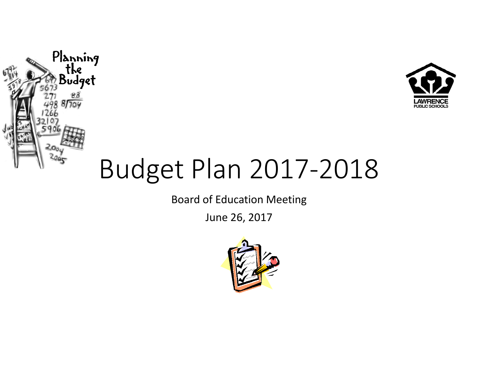



# Budget Plan 2017-2018

Board of Education Meeting

June 26, 2017

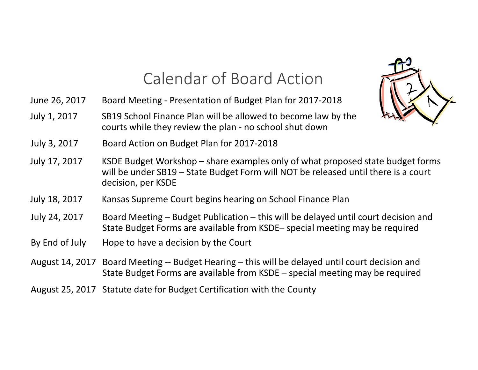## Calendar of Board Action

June 26, 2017 Board Meeting - Presentation of Budget Plan for 2017-2018

July 1, 2017 SB19 School Finance Plan will be allowed to become law by the courts while they review the plan - no school shut down

- July 3, 2017 Board Action on Budget Plan for 2017-2018
- July 17, 2017 KSDE Budget Workshop share examples only of what proposed state budget forms will be under SB19 – State Budget Form will NOT be released until there is a court decision, per KSDE
- July 18, 2017 Kansas Supreme Court begins hearing on School Finance Plan
- July 24, 2017 Board Meeting Budget Publication this will be delayed until court decision and State Budget Forms are available from KSDE– special meeting may be required
- By End of July Hope to have a decision by the Court
- August 14, 2017 Board Meeting -- Budget Hearing this will be delayed until court decision and State Budget Forms are available from KSDE – special meeting may be required
- August 25, 2017 Statute date for Budget Certification with the County

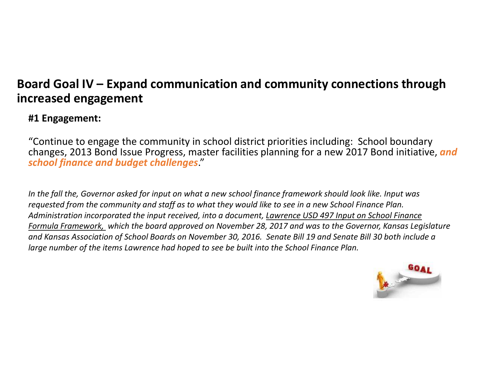### **Board Goal IV – Expand communication and community connections through increased engagement**

### **#1 Engagement:**

"Continue to engage the community in school district priorities including: School boundary changes, 2013 Bond Issue Progress, master facilities planning for a new 2017 Bond initiative, *and school finance and budget challenges*."

*In the fall the, Governor asked for input on what a new school finance framework should look like. Input was requested from the community and staff as to what they would like to see in a new School Finance Plan.Administration incorporated the input received, into a document, Lawrence USD 497 Input on School Finance Formula Framework, which the board approved on November 28, 2017 and was to the Governor, Kansas Legislature and Kansas Association of School Boards on November 30, 2016. Senate Bill 19 and Senate Bill 30 both include a large number of the items Lawrence had hoped to see be built into the School Finance Plan.*

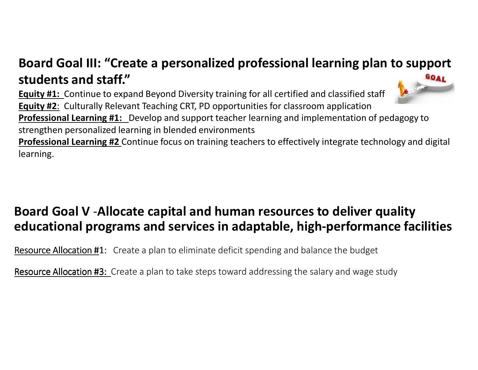#### **Board Goal III: "Create a personalized professional learning plan to support students and staff."** GOAL

 **Equity #1:** Continue to expand Beyond Diversity training for all certified and classified staff**Equity #2**: Culturally Relevant Teaching CRT, PD opportunities for classroom application **Professional Learning #1:** Develop and support teacher learning and implementation of pedagogy to strengthen personalized learning in blended environments

 **Professional Learning #2** Continue focus on training teachers to effectively integrate technology and digital learning.

### **Board Goal V** -**Allocate capital and human resources to deliver quality educational programs and services in adaptable, high-performance facilities**

**Resource Allocation #1:** Create a plan to eliminate deficit spending and balance the budget

<u>Resource Allocation #3:</u> Create a plan to take steps toward addressing the salary and wage study

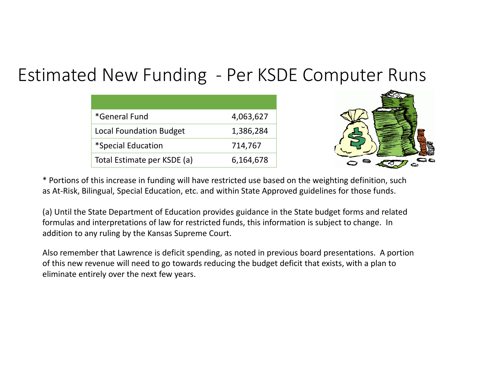# Estimated New Funding - Per KSDE Computer Runs

| *General Fund                  | 4,063,627 |
|--------------------------------|-----------|
| <b>Local Foundation Budget</b> | 1,386,284 |
| *Special Education             | 714,767   |
| Total Estimate per KSDE (a)    | 6,164,678 |



\* Portions of this increase in funding will have restricted use based on the weighting definition, such as At-Risk, Bilingual, Special Education, etc. and within State Approved guidelines for those funds.

(a) Until the State Department of Education provides guidance in the State budget forms and related formulas and interpretations of law for restricted funds, this information is subject to change. In addition to any ruling by the Kansas Supreme Court.

Also remember that Lawrence is deficit spending, as noted in previous board presentations. A portion of this new revenue will need to go towards reducing the budget deficit that exists, with a plan to eliminate entirely over the next few years.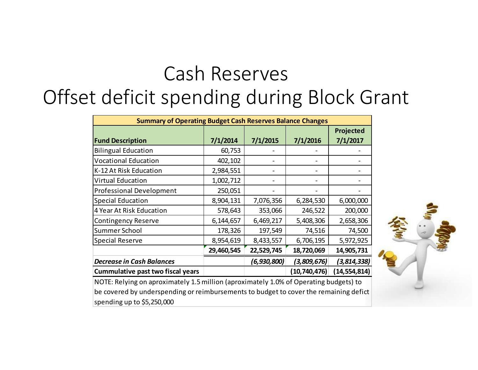# Cash ReservesOffset deficit spending during Block Grant

| <b>Summary of Operating Budget Cash Reserves Balance Changes</b> |            |             |              |                |  |
|------------------------------------------------------------------|------------|-------------|--------------|----------------|--|
|                                                                  |            |             |              | Projected      |  |
| <b>Fund Description</b>                                          | 7/1/2014   | 7/1/2015    | 7/1/2016     | 7/1/2017       |  |
| <b>Bilingual Education</b>                                       | 60,753     |             |              |                |  |
| <b>Vocational Education</b>                                      | 402,102    |             |              |                |  |
| K-12 At Risk Education                                           | 2,984,551  |             |              |                |  |
| <b>Virtual Education</b>                                         | 1,002,712  |             |              |                |  |
| <b>Professional Development</b>                                  | 250,051    |             |              |                |  |
| <b>Special Education</b>                                         | 8,904,131  | 7,076,356   | 6,284,530    | 6,000,000      |  |
| 4 Year At Risk Education                                         | 578,643    | 353,066     | 246,522      | 200,000        |  |
| <b>Contingency Reserve</b>                                       | 6,144,657  | 6,469,217   | 5,408,306    | 2,658,306      |  |
| <b>Summer School</b>                                             | 178,326    | 197,549     | 74,516       | 74,500         |  |
| Special Reserve                                                  | 8,954,619  | 8,433,557   | 6,706,195    | 5,972,925      |  |
|                                                                  | 29,460,545 | 22,529,745  | 18,720,069   | 14,905,731     |  |
| <b>Decrease in Cash Balances</b>                                 |            | (6,930,800) | (3,809,676)  | (3,814,338)    |  |
| <b>Cummulative past two fiscal years</b>                         |            |             | (10,740,476) | (14, 554, 814) |  |



NOTE: Relying on aproximately 1.5 million (aproximately 1.0% of Operating budgets) to be covered by underspending or reimbursements to budget to cover the remaining defict spending up to \$5,250,000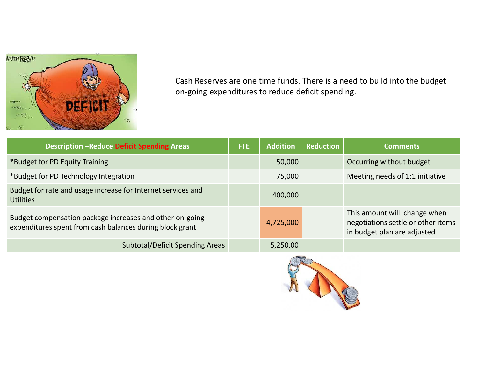

Cash Reserves are one time funds. There is a need to build into the budget on-going expenditures to reduce deficit spending.

| <b>Description -Reduce Deficit Spending Areas</b>                                                                    | <b>FTE</b> | <b>Addition</b> | <b>Reduction</b> | <b>Comments</b>                                                                                   |
|----------------------------------------------------------------------------------------------------------------------|------------|-----------------|------------------|---------------------------------------------------------------------------------------------------|
| *Budget for PD Equity Training                                                                                       |            | 50,000          |                  | Occurring without budget                                                                          |
| *Budget for PD Technology Integration                                                                                |            | 75,000          |                  | Meeting needs of 1:1 initiative                                                                   |
| Budget for rate and usage increase for Internet services and<br><b>Utilities</b>                                     |            | 400,000         |                  |                                                                                                   |
| Budget compensation package increases and other on-going<br>expenditures spent from cash balances during block grant |            | 4,725,000       |                  | This amount will change when<br>negotiations settle or other items<br>in budget plan are adjusted |
| <b>Subtotal/Deficit Spending Areas</b>                                                                               |            | 5,250,00        |                  |                                                                                                   |

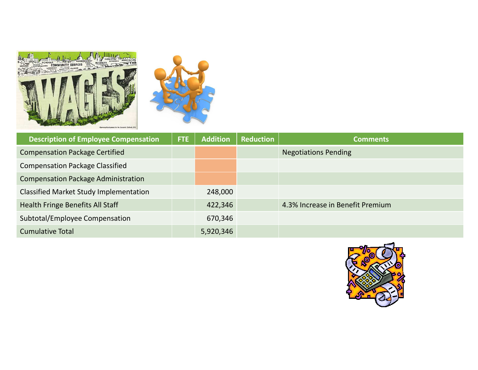



| <b>Description of Employee Compensation</b>   | FTE | <b>Addition</b> | <b>Reduction</b> | <b>Comments</b>                  |
|-----------------------------------------------|-----|-----------------|------------------|----------------------------------|
| <b>Compensation Package Certified</b>         |     |                 |                  | <b>Negotiations Pending</b>      |
| <b>Compensation Package Classified</b>        |     |                 |                  |                                  |
| <b>Compensation Package Administration</b>    |     |                 |                  |                                  |
| <b>Classified Market Study Implementation</b> |     | 248,000         |                  |                                  |
| <b>Health Fringe Benefits All Staff</b>       |     | 422,346         |                  | 4.3% Increase in Benefit Premium |
| Subtotal/Employee Compensation                |     | 670,346         |                  |                                  |
| <b>Cumulative Total</b>                       |     | 5,920,346       |                  |                                  |

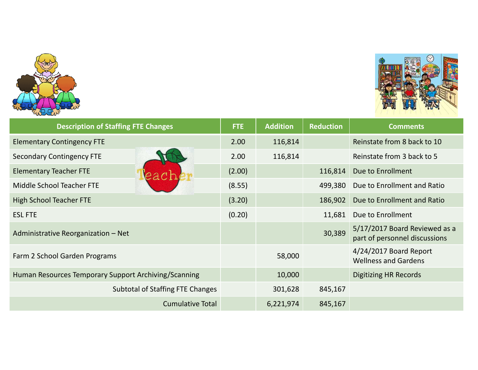



| <b>Description of Staffing FTE Changes</b>           | <b>FTE</b> | <b>Addition</b> | <b>Reduction</b> | <b>Comments</b>                                                |
|------------------------------------------------------|------------|-----------------|------------------|----------------------------------------------------------------|
| <b>Elementary Contingency FTE</b>                    | 2.00       | 116,814         |                  | Reinstate from 8 back to 10                                    |
| <b>Secondary Contingency FTE</b>                     | 2.00       | 116,814         |                  | Reinstate from 3 back to 5                                     |
| <b>Elementary Teacher FTE</b>                        | (2.00)     |                 | 116,814          | Due to Enrollment                                              |
| Middle School Teacher FTE                            | (8.55)     |                 | 499,380          | Due to Enrollment and Ratio                                    |
| <b>High School Teacher FTE</b>                       | (3.20)     |                 | 186,902          | Due to Enrollment and Ratio                                    |
| <b>ESL FTE</b>                                       | (0.20)     |                 | 11,681           | Due to Enrollment                                              |
| Administrative Reorganization - Net                  |            |                 | 30,389           | 5/17/2017 Board Reviewed as a<br>part of personnel discussions |
| Farm 2 School Garden Programs                        |            | 58,000          |                  | 4/24/2017 Board Report<br><b>Wellness and Gardens</b>          |
| Human Resources Temporary Support Archiving/Scanning |            | 10,000          |                  | <b>Digitizing HR Records</b>                                   |
| <b>Subtotal of Staffing FTE Changes</b>              |            | 301,628         | 845,167          |                                                                |
| <b>Cumulative Total</b>                              |            | 6,221,974       | 845,167          |                                                                |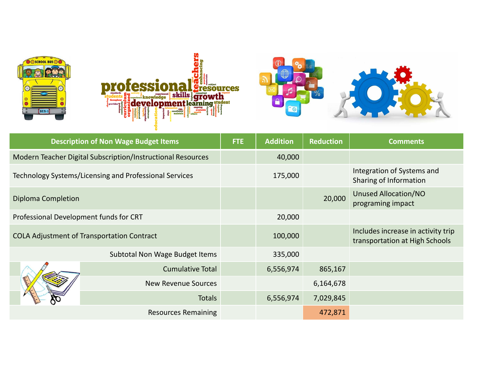







| <b>Description of Non Wage Budget Items</b>                 |                                                   | <b>FTE</b> | <b>Addition</b> | <b>Reduction</b> | <b>Comments</b>                                                      |
|-------------------------------------------------------------|---------------------------------------------------|------------|-----------------|------------------|----------------------------------------------------------------------|
| Modern Teacher Digital Subscription/Instructional Resources |                                                   |            | 40,000          |                  |                                                                      |
| Technology Systems/Licensing and Professional Services      |                                                   |            | 175,000         |                  | Integration of Systems and<br>Sharing of Information                 |
| Diploma Completion                                          |                                                   |            |                 | 20,000           | <b>Unused Allocation/NO</b><br>programing impact                     |
| Professional Development funds for CRT                      |                                                   |            | 20,000          |                  |                                                                      |
|                                                             | <b>COLA Adjustment of Transportation Contract</b> |            | 100,000         |                  | Includes increase in activity trip<br>transportation at High Schools |
|                                                             | Subtotal Non Wage Budget Items                    |            | 335,000         |                  |                                                                      |
|                                                             | <b>Cumulative Total</b>                           |            | 6,556,974       | 865,167          |                                                                      |
|                                                             | <b>New Revenue Sources</b>                        |            |                 | 6,164,678        |                                                                      |
|                                                             | <b>Totals</b>                                     |            | 6,556,974       | 7,029,845        |                                                                      |
|                                                             | <b>Resources Remaining</b>                        |            |                 | 472,871          |                                                                      |